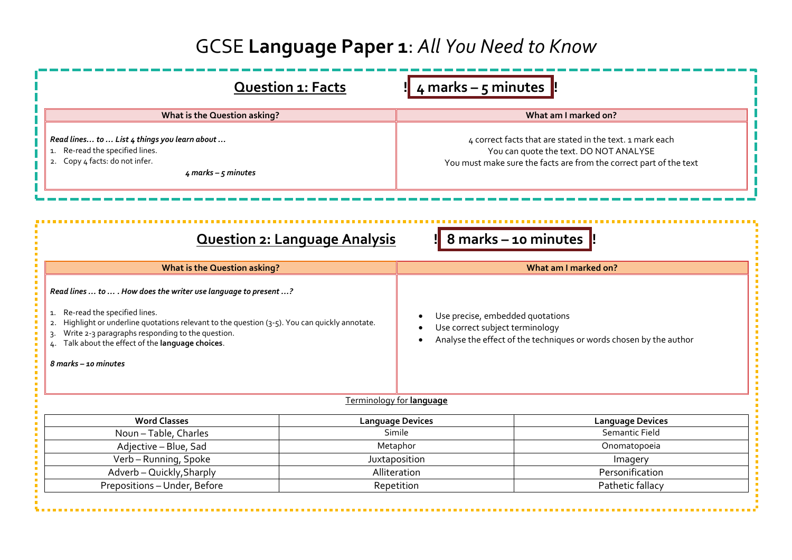## GCSE **Language Paper 1**: *All You Need to Know*

|                                                                                                                                                                                                                                                                                                                                                 | <b>Question 1: Facts</b>             | $\frac{1}{2}$ 4 marks – 5 minutes $\frac{1}{2}$                                                                                                                          |                         |  |
|-------------------------------------------------------------------------------------------------------------------------------------------------------------------------------------------------------------------------------------------------------------------------------------------------------------------------------------------------|--------------------------------------|--------------------------------------------------------------------------------------------------------------------------------------------------------------------------|-------------------------|--|
| What is the Question asking?                                                                                                                                                                                                                                                                                                                    |                                      | What am I marked on?                                                                                                                                                     |                         |  |
| Read lines to  List 4 things you learn about<br>1. Re-read the specified lines.<br>2. Copy 4 facts: do not infer.<br>$4$ marks – $5$ minutes                                                                                                                                                                                                    |                                      | 4 correct facts that are stated in the text. 1 mark each<br>You can quote the text. DO NOT ANALYSE<br>You must make sure the facts are from the correct part of the text |                         |  |
|                                                                                                                                                                                                                                                                                                                                                 | <b>Question 2: Language Analysis</b> |                                                                                                                                                                          | 8 marks - 10 minutes    |  |
| <b>What is the Question asking?</b>                                                                                                                                                                                                                                                                                                             |                                      | What am I marked on?                                                                                                                                                     |                         |  |
| Read lines  to  . How does the writer use language to present ?<br>1. Re-read the specified lines.<br>Highlight or underline quotations relevant to the question (3-5). You can quickly annotate.<br>2.<br>Write 2-3 paragraphs responding to the question.<br>3.<br>Talk about the effect of the language choices.<br>$8$ marks $-$ 10 minutes |                                      | Use precise, embedded quotations<br>Use correct subject terminology<br>Analyse the effect of the techniques or words chosen by the author                                |                         |  |
|                                                                                                                                                                                                                                                                                                                                                 |                                      |                                                                                                                                                                          |                         |  |
|                                                                                                                                                                                                                                                                                                                                                 | Terminology for language             |                                                                                                                                                                          |                         |  |
| <b>Word Classes</b>                                                                                                                                                                                                                                                                                                                             | <b>Language Devices</b>              |                                                                                                                                                                          | <b>Language Devices</b> |  |
| Noun-Table, Charles                                                                                                                                                                                                                                                                                                                             | Simile                               |                                                                                                                                                                          | <b>Semantic Field</b>   |  |
| Adjective - Blue, Sad                                                                                                                                                                                                                                                                                                                           | Metaphor                             |                                                                                                                                                                          | Onomatopoeia            |  |
| Verb-Running, Spoke                                                                                                                                                                                                                                                                                                                             | Juxtaposition                        |                                                                                                                                                                          | Imagery                 |  |
| Adverb - Quickly, Sharply                                                                                                                                                                                                                                                                                                                       | Alliteration                         |                                                                                                                                                                          | Personification         |  |